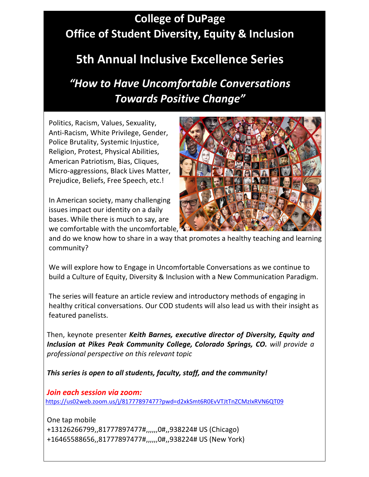## **College of DuPage Office of Student Diversity, Equity & Inclusion**

## **5th Annual Inclusive Excellence Series**

*"How to Have Uncomfortable Conversations Towards Positive Change"*

Politics, Racism, Values, Sexuality, Anti-Racism, White Privilege, Gender, Police Brutality, Systemic Injustice, Religion, Protest, Physical Abilities, American Patriotism, Bias, Cliques, Micro-aggressions, Black Lives Matter, Prejudice, Beliefs, Free Speech, etc.!

In American society, many challenging issues impact our identity on a daily bases. While there is much to say, are we comfortable with the uncomfortable,



and do we know how to share in a way that promotes a healthy teaching and learning community?

We will explore how to Engage in Uncomfortable Conversations as we continue to build a Culture of Equity, Diversity & Inclusion with a New Communication Paradigm.

The series will feature an article review and introductory methods of engaging in healthy critical conversations. Our COD students will also lead us with their insight as featured panelists.

Then, keynote presenter *Keith Barnes, executive director of Diversity, Equity and Inclusion at Pikes Peak Community College, Colorado Springs, CO. will provide a professional perspective on this relevant topic*

*This series is open to all students, faculty, staff, and the community!*

*Join each session via zoom:* <https://us02web.zoom.us/j/81777897477?pwd=d2xkSmt6R0EvVTJtTnZCMzIxRVN6QT09>

One tap mobile +13126266799,,81777897477#,,,,,,0#,,938224# US (Chicago) +16465588656,,81777897477#,,,,,,0#,,938224# US (New York)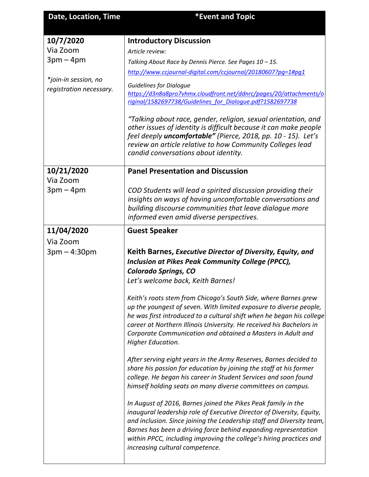| <b>Date, Location, Time</b> | *Event and Topic |
|-----------------------------|------------------|

| 10/7/2020                                       | <b>Introductory Discussion</b>                                                                                                                                                                                                                                                                                                                                             |
|-------------------------------------------------|----------------------------------------------------------------------------------------------------------------------------------------------------------------------------------------------------------------------------------------------------------------------------------------------------------------------------------------------------------------------------|
| Via Zoom                                        | Article review:                                                                                                                                                                                                                                                                                                                                                            |
| $3pm-4pm$                                       | Talking About Race by Dennis Pierce. See Pages 10 - 15.                                                                                                                                                                                                                                                                                                                    |
|                                                 | http://www.ccjournal-digital.com/ccjournal/20180607?pq=1#pq1                                                                                                                                                                                                                                                                                                               |
| *join-in session, no<br>registration necessary. | <b>Guidelines for Dialoque</b><br>https://d3n8a8pro7vhmx.cloudfront.net/ddnrc/pages/20/attachments/o<br>riginal/1582697738/Guidelines for Dialoque.pdf?1582697738                                                                                                                                                                                                          |
|                                                 | "Talking about race, gender, religion, sexual orientation, and<br>other issues of identity is difficult because it can make people<br>feel deeply <i>uncomfortable"</i> (Pierce, 2018, pp. 10 - 15). Let's<br>review an article relative to how Community Colleges lead<br>candid conversations about identity.                                                            |
| 10/21/2020                                      | <b>Panel Presentation and Discussion</b>                                                                                                                                                                                                                                                                                                                                   |
| Via Zoom<br>$3pm-4pm$                           | COD Students will lead a spirited discussion providing their<br>insights on ways of having uncomfortable conversations and<br>building discourse communities that leave dialogue more<br>informed even amid diverse perspectives.                                                                                                                                          |
| 11/04/2020                                      | <b>Guest Speaker</b>                                                                                                                                                                                                                                                                                                                                                       |
| Via Zoom                                        |                                                                                                                                                                                                                                                                                                                                                                            |
|                                                 |                                                                                                                                                                                                                                                                                                                                                                            |
| $3pm - 4:30pm$                                  | Keith Barnes, Executive Director of Diversity, Equity, and<br>Inclusion at Pikes Peak Community College (PPCC),<br><b>Colorado Springs, CO</b><br>Let's welcome back, Keith Barnes!                                                                                                                                                                                        |
|                                                 | Keith's roots stem from Chicago's South Side, where Barnes grew<br>up the youngest of seven. With limited exposure to diverse people,<br>he was first introduced to a cultural shift when he began his college<br>career at Northern Illinois University. He received his Bachelors in<br>Corporate Communication and obtained a Masters in Adult and<br>Higher Education. |
|                                                 | After serving eight years in the Army Reserves, Barnes decided to<br>share his passion for education by joining the staff at his former<br>college. He began his career in Student Services and soon found<br>himself holding seats on many diverse committees on campus.                                                                                                  |